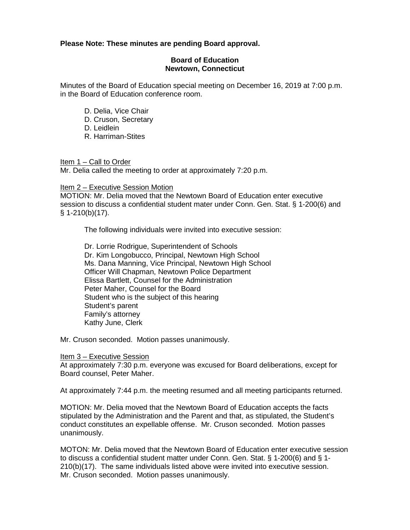## **Please Note: These minutes are pending Board approval.**

## **Board of Education Newtown, Connecticut**

Minutes of the Board of Education special meeting on December 16, 2019 at 7:00 p.m. in the Board of Education conference room.

- D. Delia, Vice Chair
- D. Cruson, Secretary
- D. Leidlein
- R. Harriman-Stites

Item 1 – Call to Order

Mr. Delia called the meeting to order at approximately 7:20 p.m.

Item 2 – Executive Session Motion

MOTION: Mr. Delia moved that the Newtown Board of Education enter executive session to discuss a confidential student mater under Conn. Gen. Stat. § 1-200(6) and  $§ 1-210(b)(17).$ 

The following individuals were invited into executive session:

Dr. Lorrie Rodrigue, Superintendent of Schools Dr. Kim Longobucco, Principal, Newtown High School Ms. Dana Manning, Vice Principal, Newtown High School Officer Will Chapman, Newtown Police Department Elissa Bartlett, Counsel for the Administration Peter Maher, Counsel for the Board Student who is the subject of this hearing Student's parent Family's attorney Kathy June, Clerk

Mr. Cruson seconded. Motion passes unanimously.

## Item 3 – Executive Session

At approximately 7:30 p.m. everyone was excused for Board deliberations, except for Board counsel, Peter Maher.

At approximately 7:44 p.m. the meeting resumed and all meeting participants returned.

MOTION: Mr. Delia moved that the Newtown Board of Education accepts the facts stipulated by the Administration and the Parent and that, as stipulated, the Student's conduct constitutes an expellable offense. Mr. Cruson seconded. Motion passes unanimously.

MOTON: Mr. Delia moved that the Newtown Board of Education enter executive session to discuss a confidential student matter under Conn. Gen. Stat. § 1-200(6) and § 1- 210(b)(17). The same individuals listed above were invited into executive session. Mr. Cruson seconded. Motion passes unanimously.